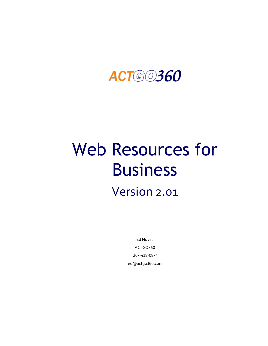

# Web Resources for Business Version 2.01

Ed Noyes ACTGO360 207-418-0874 ed@actgo360.com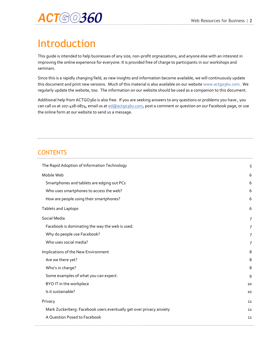

## Introduction

This guide is intended to help businesses of any size, non-profit orgnaizations, and anyone else with an intesrest in improving the online experience for everyone. It is provided free of charge to participants in our workshops and seminars.

Since this is a rapidly changing field, as new insights and information become available, we will continuously update this document and print new versions. Much of this material is also available on our website www.actgo360.com. We regularly update the website, too. The information on our website should be used as a companion to this document.

Additional help from ACTGO360 is also free. If you are seeking answers to any questions or problems you have , you can call us at 207-418-0874, email us a[t ed@actgo360.com,](mailto:ed@actgo360.com) post a comment or question on our Facebook page, or use the online form at our website to send us a message.

## **CONTENTS**

| The Rapid Adoption of Information Technology                        | 5              |
|---------------------------------------------------------------------|----------------|
| Mobile Web                                                          | 6              |
| Smartphones and tablets are edging out PCs                          | 6              |
| Who uses smartphones to access the web?                             | 6              |
| How are people using their smartphones?                             | 6              |
| <b>Tablets and Laptops</b>                                          | 6              |
| Social Media                                                        | $\overline{7}$ |
| Facebook is dominating the way the web is used.                     | 7              |
| Why do people use Facebook?                                         | 7              |
| Who uses social media?                                              | $\overline{7}$ |
| Implications of the New Environment                                 | 8              |
| Are we there yet?                                                   | 8              |
| Who's in charge?                                                    | 8              |
| Some examples of what you can expect.                               | 9              |
| BYO IT in the workplace                                             | 10             |
| Is it sustainable?                                                  | 10             |
| Privacy                                                             | 11             |
| Mark Zuckerberg: Facebook users eventually get over privacy anxiety | 11             |
| A Question Posed to Facebook                                        | 11             |
|                                                                     |                |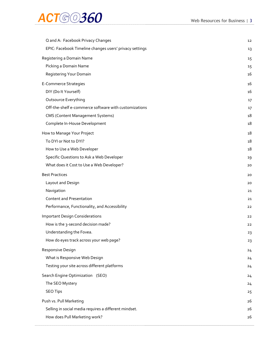



| Q and A: Facebook Privacy Changes                       | 12 |
|---------------------------------------------------------|----|
| EPIC: Facebook Timeline changes users' privacy settings | 13 |
| Registering a Domain Name                               | 15 |
| Picking a Domain Name                                   | 15 |
| Registering Your Domain                                 | 16 |
| E-Commerce Strategies                                   | 16 |
| DIY (Do It Yourself)                                    | 16 |
| <b>Outsource Everything</b>                             | 17 |
| Off-the-shelf e-commerce software with customizations   | 17 |
| <b>CMS (Content Management Systems)</b>                 | 18 |
| Complete In-House Development                           | 18 |
| How to Manage Your Project                              | 18 |
| To DYI or Not to DYI?                                   | 18 |
| How to Use a Web Developer                              | 18 |
| Specific Questions to Ask a Web Developer               | 19 |
| What does it Cost to Use a Web Developer?               | 20 |
| <b>Best Practices</b>                                   | 20 |
| Layout and Design                                       | 20 |
| Navigation                                              | 21 |
| <b>Content and Presentation</b>                         | 21 |
| Performance, Functionality, and Accessibility           | 22 |
| <b>Important Design Considerations</b>                  | 22 |
| How is the 3-second decision made?                      | 22 |
| Understanding the Fovea.                                | 23 |
| How do eyes track across your web page?                 | 23 |
| Responsive Design                                       | 24 |
| What is Responsive Web Design                           | 24 |
| Testing your site across different platforms            | 24 |
| Search Engine Optimization (SEO)                        | 24 |
| The SEO Mystery                                         | 24 |
| <b>SEO Tips</b>                                         | 25 |
| Push vs. Pull Marketing                                 | 26 |
| Selling in social media requires a different mindset.   | 26 |
| How does Pull Marketing work?                           | 26 |
|                                                         |    |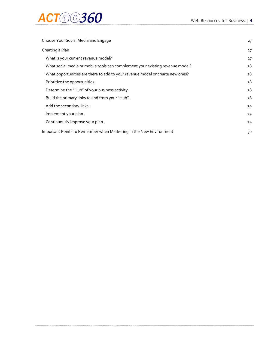

| Choose Your Social Media and Engage                                           | 27 |
|-------------------------------------------------------------------------------|----|
| Creating a Plan                                                               | 27 |
| What is your current revenue model?                                           | 27 |
| What social media or mobile tools can complement your existing revenue model? | 28 |
| What opportunities are there to add to your revenue model or create new ones? | 28 |
| Prioritize the opportunities.                                                 | 28 |
| Determine the "Hub" of your business activity.                                | 28 |
| Build the primary links to and from your "Hub".                               | 28 |
| Add the secondary links.                                                      | 29 |
| Implement your plan.                                                          | 29 |
| Continuously improve your plan.                                               | 29 |
| Important Points to Remember when Marketing in the New Environment            | 30 |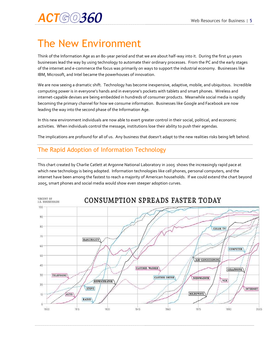

## The New Environment

Think of the Information Age as an 80-year period and that we are about half-way into it. During the first 40 years businesses lead the way by using technology to automate their ordinary processes. From the PC and the early stages of the internet and e-commerce the focus was primarily on ways to support the industrial economy. Businesses like IBM, Microsoft, and Intel became the powerhouses of innovation.

We are now seeing a dramatic shift. Technology has become inexpensive, adaptive, mobile, and ubiquitous. Incredible computing power is in everyone's hands and in everyone's pockets with tablets and smart phones. Wireless and internet-capable devises are being embedded in hundreds of consumer products. Meanwhile social media is rapidly becoming the primary channel for how we consume information. Businesses like Google and Facebook are now leading the way into the second phase of the Information Age.

In this new environment individuals are now able to exert greater control in their social, political, and economic activities. When individuals control the message, institutions lose their ability to push their agendas.

The implications are profound for all of us. Any business that doesn't adapt to the new realities risks being left behind.

## <span id="page-4-0"></span>The Rapid Adoption of Information Technology

This chart created by Charlie Catlett at Argonne National Laboratory in 2005 shows the increasingly rapid pace at which new technology is being adopted. Information technologies like cell phones, personal computers, and the internet have been among the fastest to reach a majority of American households. If we could extend the chart beyond 2005, smart phones and social media would show even steeper adoption curves.

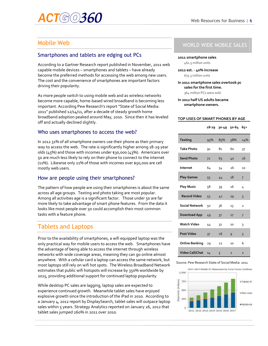## GH (0)

## <span id="page-5-0"></span>Mobile Web

#### <span id="page-5-1"></span>Smartphones and tablets are edging out PCs

According to a Gartner Research report published in November, 2011 web capable mobile devices – smartphones and tablets – have already become the preferred methods for accessing the web among new users. The cost and the convenience of smartphones are important factors driving their popularity.

As more people switch to using mobile web and as wireless networks become more capable, home-based wired broadband is becoming less important. According Pew Research's report "State of Social Media: 2011" published 12/14/11, after a decade of steady growth home broadband adoption peaked around May, 2010. Since then it has leveled off and actually declined slightly.

#### <span id="page-5-2"></span>Who uses smartphones to access the web?

In 2012 31% of all smartphone owners use their phone as their primary way to access the web. The rate is significantly higher among 18-29 year olds (45%) and those with incomes under  $$30,000$  (43%). Americans over 50 are much less likely to rely on their phone to connect to the internet (11%). Likewise only 21% of those with incomes over \$50,000 are cell mostly web users.

#### <span id="page-5-3"></span>How are people using their smartphones?

The pattern of how people are using their smartphones is about the same across all age groups. Texting and photo taking are most popular. Among all activities age is a significant factor. Those under 50 are far more likely to take advantage of smart phone features. From the data it looks like most people over 50 could accomplish their most common tasks with a feature phone.

## <span id="page-5-4"></span>Tablets and Laptops

Prior to the availability of smartphones, a wifi equipped laptop was the only practical way for mobile users to access the web. Smartphones have the advantage of being able to access the internet through wireless networks with wide coverage areas, meaning they can go online almost anywhere. With a cellular card a laptop can access the same network, but most laptops still rely on wifi hot spots. The Wireless Broadband Network estimates that public wifi hotspots will increase by 350% worldwide by 2015, providing additional support for continued laptop popularity.

While desktop PC sales are lagging, laptop sales are expected to experience continued growth. Meanwhile tablet sales have enjoyed explosive growth since the introduction of the iPad in 2010. According to a January 4, 2012 report by DisplaySearch, tablet sales will outpace laptop sales within 5 years. Strategy Analytics reported on January 26, 2012 that tablet sales jumped 260% in 2011 over 2010.

## WORLD WIDE MOBILE SALES

**2011 smartphone sales** 461.5 million units

**2012 est. - 40% increase**

675.3 million units

**In 2011 smartphone sales overtook pc sales for the first time.** 364 million PCs were sold.

**In 2012 half US adults became smartphone owners.**

#### **TOP USES OF SMART PHONES BY AGE**

|                        |     | 18-29 30-49 50-64 |                | 65+            |
|------------------------|-----|-------------------|----------------|----------------|
| <b>Texting</b>         | 95% | 85%               | 58%            | 24%            |
| <b>Take Photo</b>      | 91  | 81                | 60             | 37             |
| <b>Send Photo</b>      | 72  | 65                | 40             | 16             |
| Internet               | 64  | 54                | 26             | 10             |
| <b>Play Games</b>      | 53  | 44                | 18             | $\overline{7}$ |
| <b>Play Music</b>      | 58  | 39                | 16             | 4              |
| <b>Record Video</b>    | 53  | 42                | 19             | 3              |
| Social Network         | 50  | 36                | 13             | 2              |
| <b>Download App</b>    | 49  | 37                | 17             | 7              |
| Watch Video            | 44  | 32                | 10             | 3              |
| <b>Post Video</b>      | 37  | 26                | 9              | 5              |
| <b>Online Banking</b>  | 29  | 22                | 10             | 6              |
| <b>Video Call/Chat</b> | 14  | 5                 | $\overline{2}$ | $\overline{2}$ |

#### Source: Pew Research State of Social Media: 2011

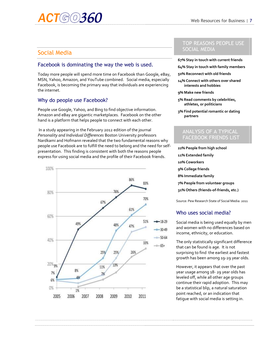## $G(0)360$

## <span id="page-6-0"></span>Social Media

#### <span id="page-6-1"></span>Facebook is dominating the way the web is used.

Today more people will spend more time on Facebook than Google, eBay, MSN, Yahoo, Amazon, and YouTube combined. Social media, especially Facebook, is becoming the primary way that individuals are experiencing the internet.

#### <span id="page-6-2"></span>Why do people use Facebook?

People use Google, Yahoo, and Bing to find objective information. Amazon and eBay are gigantic marketplaces. Facebook on the other hand is a platform that helps people to connect with each other.

In a study appearing in the February 2012 edition of the journal *Personality and Individual Differences* Boston University professors Nardkami and Hofmann revealed that the two fundamental reasons why people use Facebook are to fulfill the need to belong and the need for selfpresentation. This finding is consistent with both the reasons people express for using social media and the profile of their Facebook friends.



#### TOP REASONS PEOPLE USE SOCIAL MEDIA

#### **67% Stay in touch with current friends**

**64% Stay in touch with family members**

**50% Reconnect with old friends**

- **14% Connect with others over shared interests and hobbies**
- **9% Make new friends**
- **5% Read comments by celebrities, athletes, or politicians**
- **3% Find potential romantic or dating partners**

### ANALYSIS OF A TYPICAL FACEBOOK FRIENDS LIST

- **22% People from high school**
- **11% Extended family**
- **10% Coworkers**
- **9% College friends**
- **8% Immediate family**
- **7% People from volunteer groups**
- **31% Others (friends-of-friends, etc.)**

Source: Pew Research State of Social Media: 2011

#### <span id="page-6-3"></span>Who uses social media?

Social media is being used equally by men and women with no differences based on income, ethnicity, or education.

The only statistically significant difference that can be found is age. It is not surprising to find the earliest and fastest growth has been among 19-29 year olds.

However, it appears that over the past year usage among 18- 29 year olds has leveled off, while all other age groups continue their rapid adoption. This may be a statistical blip, a natural saturation point reached, or an indication that fatigue with social media is setting in.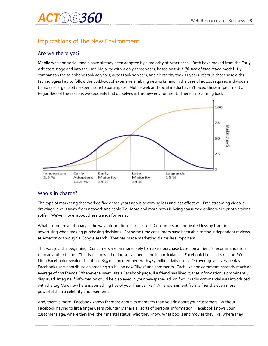## $\mathbb{G}(\text{O})$ 360

## <span id="page-7-0"></span>Implications of the New Environment

#### <span id="page-7-1"></span>Are we there yet?

Mobile web and social media have already been adopted by a majority of Americans. Both have moved from the Early Adopters stage and into the Late Majority within only three years, based on this *Diffusion of Innovation* model. By comparison the telephone took 50 years, autos took 30 years, and electricity took 15 years. It's true that those older technologies had to follow the build-out of extensive enabling networks, and in the case of autos, required individuals to make a large capital expenditure to participate. Mobile web and social media haven't faced those impediments. Regardless of the reasons we suddenly find ourselves in this new environment. There is no turning back.



### <span id="page-7-2"></span>Who's in charge?

The type of marketing that worked five or ten years ago is becoming less and less effective. Free streaming video is drawing viewers away from network and cable TV. More and more news is being consumed online while print versions suffer. We've known about these trends for years.

What is more revolutionary is the way information is processed. Consumers are motivated less by traditional advertising when making purchasing decisions. For some time consumers have been able to find independent reviews at Amazon or through a Google search. That has made marketing claims less important.

This was just the beginning. Consumers are far more likely to make a purchase based on a friend's recommendation than any other factor. That is the power behind social media and in particular the Facebook Like. In its recent IPO filing Facebook revealed that it has 845 million members with 483 million daily users. On average an average day Facebook users contribute an amazing 2.7 billion new "likes" and comments. Each like and comment instantly reach an average of 227 friends. Whenever a user visits a Facebook page, if a friend has liked it, that information is prominently displayed. Imagine if information could be displayed in your newspaper ad, or if your radio commercial was introduced with the tag "And now here is something five of your friends like." An endorsement from a friend is even more powerful than a celebrity endorsement.

And, there is more. Facebook knows far more about its members than you do about your customers. Without Facebook having to lift a finger users voluntarily share all sorts of personal information. Facebook knows your customer's age, where they live, their marital status, who they know, what books and movies they like, where they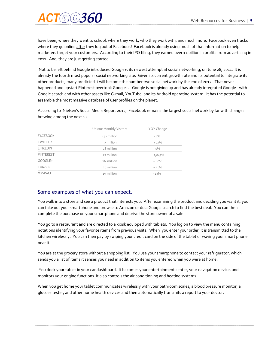have been, where they went to school, where they work, who they work with, and much more. Facebook even tracks where they go online after they log out of Facebook! Facebook is already using much of that information to help marketers target your customers. According to their IPO filing, they earned over \$1 billion in profits from advertising in 2011. And, they are just getting started.

Not to be left behind Google introduced Google+, its newest attempt at social networking, on June 28, 2011. It is already the fourth most popular social networking site. Given its current growth rate and its potential to integrate its other products, many predicted it will become the number two social network by the end of 2012. That never happened and upstart Pinterest overtook Google+. Google is not giving up and has already integrated Google+ with Google search and with other assets like G-mail, YouTube, and its Android operating system. It has the potential to assemble the most massive database of user profiles on the planet.

According to Nielsen's Social Media Report 2012, Facebook remains the largest social network by far with changes brewing among the next six.

|                  | Unique Monthly Visitors | YOY Change |
|------------------|-------------------------|------------|
| <b>FACEBOOK</b>  | 152 million             | $-4%$      |
| <b>TWITTER</b>   | 37 million              | $+13%$     |
| LINKEDIN         | 28 million              | $O\%$      |
| <b>PINTEREST</b> | 27 million              | $+1,047%$  |
| GOOGLE+          | 26 million              | $+80%$     |
| <b>TUMBLR</b>    | 25 million              | $+55%$     |
| <b>MYSPACE</b>   | 19 million              | $-13%$     |

### <span id="page-8-0"></span>Some examples of what you can expect.

You walk into a store and see a product that interests you. After examining the product and deciding you want it, you can take out your smartphone and browse to Amazon or do a Google search to find the best deal. You can then complete the purchase on your smartphone and deprive the store owner of a sale.

You go to a restaurant and are directed to a kiosk equipped with tablets. You log on to view the menu containing notations identifying your favorite items from previous visits. When you enter your order, it is transmitted to the kitchen wirelessly. You can then pay by swiping your credit card on the side of the tablet or waving your smart phone near it.

You are at the grocery store without a shopping list. You use your smartphone to contact your refrigerator, which sends you a list of items it senses you need in addition to items you entered when you were at home.

You dock your tablet in your car dashboard. It becomes your entertainment center, your navigation device, and monitors your engine functions. It also controls the air conditioning and heating systems.

When you get home your tablet communicates wirelessly with your bathroom scales, a blood pressure monitor, a glucose tester, and other home health devices and then automatically transmits a report to your doctor.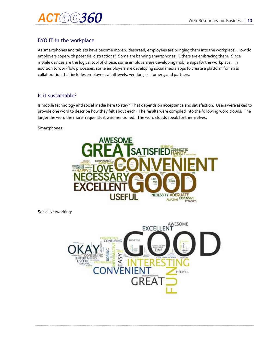

#### <span id="page-9-0"></span>BYO IT in the workplace

As smartphones and tablets have become more widespread, employees are bringing them into the workplace. How do employers cope with potential distractions? Some are banning smartphones. Others are embracing them. Since mobile devices are the logical tool of choice, some employers are developing mobile apps for the workplace. In addition to workflow processes, some employers are developing social media apps to create a platform for mass collaboration that includes employees at all levels, vendors, customers, and partners.

#### <span id="page-9-1"></span>Is it sustainable?

Is mobile technology and social media here to stay? That depends on acceptance and satisfaction. Users were asked to provide one word to describe how they felt about each. The results were compiled into the following word clouds. The larger the word the more frequently it was mentioned. The word clouds speak for themselves.

Smartphones:



Social Networking:

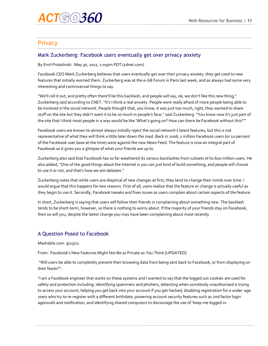

## <span id="page-10-0"></span>**Privacy**

#### <span id="page-10-1"></span>Mark Zuckerberg: Facebook users eventually get over privacy anxiety

By Emil Protalinski May 30, 2011, 1:01pm PDT (zdnet.com)

Facebook CEO Mark Zuckerberg believes that users eventually get over their privacy anxiety: they get used to new features that initially worried them. Zuckerberg was at the e-G8 Forum in Paris last week, and as always had some very interesting and controversial things to say.

"We'll roll it out, and pretty often there'll be this backlash, and people will say, ok, we don't like this new thing," Zuckerberg said according to CNET. "It's I think a real anxiety. People were really afraid of more people being able to be involved in the social network. People thought that, you know, it was just too much, right, they wanted to share stuff on the site but they didn't want it to be so much in people's face," said Zuckerberg. "You know now it's just part of the site that I think most people in a way would be like 'What's going on? How can there be Facebook without this?'"

Facebook users are known to almost always initially reject the social network's latest features, but this is not representative of what they will think a little later down the road. Back in 2006, 1 million Facebook users (or 10 percent of the Facebook user base at the time) were against the new News Feed. The feature is now an integral part of Facebook as it gives you a glimpse of what your friends are up to.

Zuckerberg also said that Facebook has so far weathered its various backlashes from subsets of its 600 million users. He also added, "One of the good things about the Internet is you can just kind of build something, and people will choose to use it or not, and that's how we win debates."

Zuckerberg notes that while users are skeptical of new changes at first, they tend to change their minds over time. I would argue that this happens for two reasons. First of all, users realize that the feature or change is actually useful as they begin to use it. Secondly, Facebook tweaks and fixes issues as users complain about certain aspects of the feature.

In short, Zuckerberg is saying that users will follow their friends in complaining about something new. The backlash tends to be short-term, however, so there is nothing to worry about. If the majority of your friends stay on Facebook, then so will you, despite the latest change you may have been complaining about most recently.

#### <span id="page-10-2"></span>A Question Posed to Facebook

Mashable.com 9/25/11

From: Facebook's New Features Might Not Be as Private as You Think [UPDATED]

"Will users be able to completely prevent their browsing data from being sent back to Facebook, or from displaying on their feeds?":

"I am a Facebook engineer that works on these systems and I wanted to say that the logged out cookies are used for safety and protection including: identifying spammers and phishers, detecting when somebody unauthorized is trying to access your account, helping you get back into your account if you get hacked, disabling registration for a under-age users who try to re-register with a different birthdate, powering account security features such as 2nd factor login approvals and notification, and identifying shared computers to discourage the use of 'keep me logged in.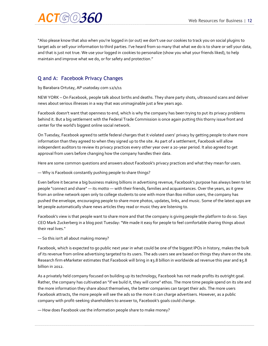

"Also please know that also when you're logged in (or out) we don't use our cookies to track you on social plugins to target ads or sell your information to third parties. I've heard from so many that what we do is to share or sell your data, and that is just not true. We use your logged in cookies to personalize (show you what your friends liked), to help maintain and improve what we do, or for safety and protection."

### <span id="page-11-0"></span>Q and A: Facebook Privacy Changes

#### by Barabara Ortutay, AP usatoday.com 12/1/11

NEW YORK – On Facebook, people talk about births and deaths. They share party shots, ultrasound scans and deliver news about serious illnesses in a way that was unimaginable just a few years ago.

Facebook doesn't want that openness to end, which is why the company has been trying to put its privacy problems behind it. But a big settlement with the Federal Trade Commission is once again putting this thorny issue front and center for the world's biggest online social network.

On Tuesday, Facebook agreed to settle federal charges that it violated users' privacy by getting people to share more information than they agreed to when they signed up to the site. As part of a settlement, Facebook will allow independent auditors to review its privacy practices every other year over a 20-year period. It also agreed to get approval from users before changing how the company handles their data.

Here are some common questions and answers about Facebook's privacy practices and what they mean for users.

— Why is Facebook constantly pushing people to share things?

Even before it became a big business making billions in advertising revenue, Facebook's purpose has always been to let people "connect and share" — its motto — with their friends, families and acquaintances. Over the years, as it grew from an online network open only to college students to one with more than 800 million users, the company has pushed the envelope, encouraging people to share more photos, updates, links, and music. Some of the latest apps are let people automatically share news articles they read or music they are listening to.

Facebook's view is that people want to share more and that the company is giving people the platform to do so. Says CEO Mark Zuckerberg in a blog post Tuesday: "We made it easy for people to feel comfortable sharing things about their real lives."

— So this isn't all about making money?

Facebook, which is expected to go public next year in what could be one of the biggest IPOs in history, makes the bulk of its revenue from online advertising targeted to its users. The ads users see are based on things they share on the site. Research firm eMarketer estimates that Facebook will bring in \$3.8 billion in worldwide ad revenue this year and \$5.8 billion in 2012.

As a privately held company focused on building up its technology, Facebook has not made profits its outright goal. Rather, the company has cultivated an "if we build it, they will come" ethos. The more time people spend on its site and the more information they share about themselves, the better companies can target their ads. The more users Facebook attracts, the more people will see the ads so the more it can charge advertisers. However, as a public company with profit-seeking shareholders to answer to, Facebook's goals could change.

— How does Facebook use the information people share to make money?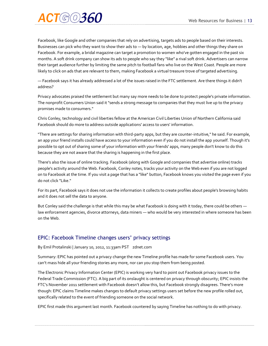

Facebook, like Google and other companies that rely on advertising, targets ads to people based on their interests. Businesses can pick who they want to show their ads to — by location, age, hobbies and other things they share on Facebook. For example, a bridal magazine can target a promotion to women who've gotten engaged in the past six months. A soft drink company can show its ads to people who say they "like" a rival soft drink. Advertisers can narrow their target audience further by limiting the same pitch to football fans who live on the West Coast. People are more likely to click on ads that are relevant to them, making Facebook a virtual treasure trove of targeted advertising.

— Facebook says it has already addressed a lot of the issues raised in the FTC settlement. Are there things it didn't address?

Privacy advocates praised the settlement but many say more needs to be done to protect people's private information. The nonprofit Consumers Union said it "sends a strong message to companies that they must live up to the privacy promises made to consumers."

Chris Conley, technology and civil liberties fellow at the American Civil Liberties Union of Northern California said Facebook should do more to address outside applications' access to users' information.

"There are settings for sharing information with third-party apps, but they are counter-intuitive," he said. For example, an app your friend installs could have access to your information even if you do not install the app yourself. Though it's possible to opt out of sharing some of your information with your friends' apps, many people don't know to do this because they are not aware that the sharing is happening in the first place.

There's also the issue of online tracking. Facebook (along with Google and companies that advertise online) tracks people's activity around the Web. Facebook, Conley notes, tracks your activity on the Web even if you are not logged on to Facebook at the time. If you visit a page that has a "like" button, Facebook knows you visited the page even if you do not click "Like."

For its part, Facebook says it does not use the information it collects to create profiles about people's browsing habits and it does not sell the data to anyone.

But Conley said the challenge is that while this may be what Facebook is doing with it today, there could be others law enforcement agencies, divorce attorneys, data miners — who would be very interested in where someone has been on the Web.

#### <span id="page-12-0"></span>EPIC: Facebook Timeline changes users' privacy settings

By Emil Protalinski | January 10, 2012, 11:33am PST zdnet.com

Summary: EPIC has pointed out a privacy change the new Timeline profile has made for some Facebook users. You can't mass hide all your friending stories any more, nor can you stop them from being posted.

The Electronic Privacy Information Center (EPIC) is working very hard to point out Facebook privacy issues to the Federal Trade Commission (FTC). A big part of its onslaught is centered on privacy through obscurity; EPIC insists the FTC's November 2011 settlement with Facebook doesn't allow this, but Facebook strongly disagrees. There's more though: EPIC claims Timeline makes changes to default privacy settings users set before the new profile rolled out, specifically related to the event of friending someone on the social network.

EPIC first made this argument last month. Facebook countered by saying Timeline has nothing to do with privacy.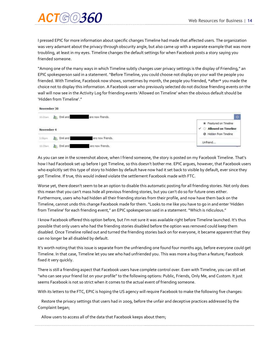

**Boundary 20** 

I pressed EPIC for more information about specific changes Timeline had made that affected users. The organization was very adamant about the privacy through obscurity angle, but also came up with a separate example that was more troubling, at least in my eyes. Timeline changes the default settings for when Facebook posts a story saying you friended someone.

"Among one of the many ways in which Timeline subtly changes user privacy settings is the display of Friending," an EPIC spokesperson said in a statement. "Before Timeline, you could choose not display on your wall the people you friended. With Timeline, Facebook now shows, sometimes by month, the people you friended, \*after\* you made the choice not to display this information. A Facebook user who previously selected do not disclose friending events on the wall will now see in the Activity Log for friending events 'Allowed on Timeline' when the obvious default should be 'Hidden from Timeline'."

| <b>THE R. P. LEWIS CO., LANSING MICH.</b><br>abilities 25 Emilend<br>are now friends. | ۰                                                                                                  |
|---------------------------------------------------------------------------------------|----------------------------------------------------------------------------------------------------|
| November 4                                                                            | $\star$ Featured on Timeline<br>$\checkmark$ $\circ$ Allowed on Timeline<br>@ Hidden from Timeline |
| <b>Bo</b> Emil and<br>5:56pm<br>are now friends.                                      |                                                                                                    |
| 10:59am & Emil and<br>are now friends.                                                | Unfriend                                                                                           |

As you can see in the screenshot above, when I friend someone, the story is posted on my Facebook Timeline. That's how I had Facebook set up before I got Timeline, so this doesn't bother me. EPIC argues, however, that Facebook users who explicitly set this type of story to hidden by default have now had it set back to visible by default, ever since they got Timeline. If true, this would indeed violate the settlement Facebook made with FTC.

Worse yet, there doesn't seem to be an option to disable this automatic posting for all friending stories. Not only does this mean that you can't mass hide all previous friending stories, but you can't do so for future ones either. Furthermore, users who had hidden all their friending stories from their profile, and now have them back on the Timeline, cannot undo this change Facebook made for them. "Looks to me like you have to go in and enter 'Hidden from Timeline' for each friending event," an EPIC spokesperson said in a statement. "Which is ridiculous."

I know Facebook offered this option before, but I'm not sure it was available right before Timeline launched. It's thus possible that only users who had the friending stories disabled before the option was removed could keep them disabled. Once Timeline rolled out and turned the friending stories back on for everyone, it became apparent that they can no longer be all disabled by default.

It's worth noting that this issue is separate from the unfriending one found four months ago, before everyone could get Timeline. In that case, Timeline let you see who had unfriended you. This was more a bug than a feature; Facebook fixed it very quickly.

There is still a friending aspect that Facebook users have complete control over. Even with Timeline, you can still set "who can see your friend list on your profile" to the following options: Public, Friends, Only Me, and Custom. It just seems Facebook is not so strict when it comes to the actual event of friending someone.

With its letters to the FTC, EPIC is hoping the US agency will require Facebook to make the following five changes:

 Restore the privacy settings that users had in 2009, before the unfair and deceptive practices addressed by the Complaint began;

Allow users to access all of the data that Facebook keeps about them;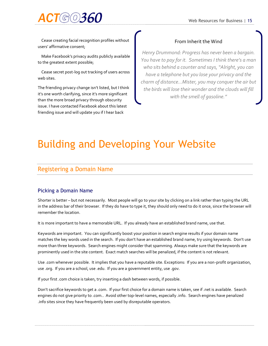

 Cease creating facial recognition profiles without users' affirmative consent;

 Make Facebook's privacy audits publicly available to the greatest extent possible;

 Cease secret post-log out tracking of users across web sites.

The friending privacy change isn't listed, but I think it's one worth clarifying, since it's more significant than the more broad privacy through obscurity issue. I have contacted Facebook about this latest friending issue and will update you if I hear back

#### From Inherit the Wind

*Henry Drummond: Progress has never been a bargain. You have to pay for it. Sometimes I think there's a man who sits behind a counter and says, "Alright, you can have a telephone but you lose your privacy and the charm of distance…Mister, you may conquer the air but the birds will lose their wonder and the clouds will fill with the smell of gasoline."*

## Building and Developing Your Website

## <span id="page-14-0"></span>Registering a Domain Name

#### <span id="page-14-1"></span>Picking a Domain Name

Shorter is better – but not necessarily. Most people will go to your site by clicking on a link rather than typing the URL in the address bar of their browser. If they do have to type it, they should only need to do it once, since the browser will remember the location.

It is more important to have a memorable URL. If you already have an established brand name, use that.

Keywords are important. You can significantly boost your position in search engine results if your domain name matches the key words used in the search. If you don't have an established brand name, try using keywords. Don't use more than three keywords. Search engines might consider that spamming. Always make sure that the keywords are prominently used in the site content. Exact match searches will be penalized, if the content is not relevant.

Use .com whenever possible. It implies that you have a reputable site. Exceptions: If you are a non-profit organization, use .org. If you are a school, use .edu. If you are a government entity, use .gov.

If your first .com choice is taken, try inserting a dash between words, if possible.

Don't sacrifice keywords to get a .com. If your first choice for a domain name is taken, see if .net is available. Search engines do not give priority to .com.. Avoid other top-level names, especially .info. Search engines have penalized .info sites since they have frequently been used by disreputable operators.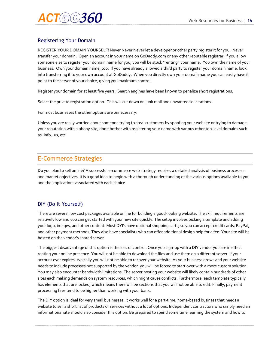

#### <span id="page-15-0"></span>Registering Your Domain

REGISTER YOUR DOMAIN YOURSELF! Never Never Never let a developer or other party register it for you. Never transfer your domain. Open an account in your name on GoDaddy.com or any other reputable registrar. If you allow someone else to register your domain name for you, you will be stuck "renting" your name. You own the name of your business. Own your domain name, too. If you have already allowed a third party to register your domain name, look into transferring it to your own account at GoDaddy. When you directly own your domain name you can easily have it point to the server of your choice, giving you maximum control.

Register your domain for at least five years. Search engines have been known to penalize short registrations.

Select the private registration option. This will cut down on junk mail and unwanted solicitations.

For most businesses the other options are unnecessary.

Unless you are really worried about someone trying to steal customers by spoofing your website or trying to damage your reputation with a phony site, don't bother with registering your name with various other top-level domains such as .info, .us, etc.

## <span id="page-15-1"></span>E-Commerce Strategies

Do you plan to sell online? A successful e-commerce web strategy requires a detailed analysis of business processes and market objectives. It is a good idea to begin with a thorough understanding of the various options available to you and the implications associated with each choice.

### <span id="page-15-2"></span>DIY (Do It Yourself)

There are several low cost packages available online for building a good-looking website. The skill requirements are relatively low and you can get started with your new site quickly. The setup involves picking a template and adding your logo, images, and other content. Most DYI's have optional shopping carts, so you can accept credit cards, PayPal, and other payment methods. They also have specialists who can offer additional design help for a fee. Your site will be hosted on the vendor's shared server.

The biggest disadvantage of this option is the loss of control. Once you sign-up with a DIY vendor you are in effect renting your online presence. You will not be able to download the files and use them on a different server. If your account ever expires, typically you will not be able to recover your website. As your business grows and your website needs to include processes not supported by the vendor, you will be forced to start over with a more custom solution. You may also encounter bandwidth limitations. The server hosting your website will likely contain hundreds of other sites each making demands on system resources, which might cause conflicts. Furthermore, each template typically has elements that are locked, which means there will be sections that you will not be able to edit. Finally, payment processing fees tend to be higher than working with your bank.

The DIY option is ideal for very small businesses. It works well for a part-time, home-based business that needs a website to sell a short list of products or services without a lot of options. Independent contractors who simply need an informational site should also consider this option. Be prepared to spend some time learning the system and how to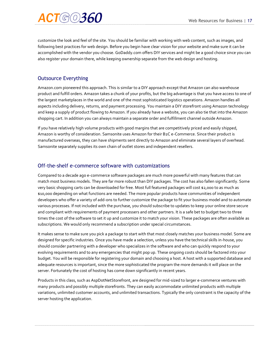

customize the look and feel of the site. You should be familiar with working with web content, such as images, and following best practices for web design. Before you begin have clear vision for your website and make sure it can be accomplished with the vendor you choose. GoDaddy.com offers DIY services and might be a good choice since you can also register your domain there, while keeping ownership separate from the web design and hosting.

#### <span id="page-16-0"></span>Outsource Everything

Amazon.com pioneered this approach. This is similar to a DIY approach except that Amazon can also warehouse product and fulfill orders. Amazon takes a chunk of your profits, but the big advantage is that you have access to one of the largest marketplaces in the world and one of the most sophisticated logistics operations. Amazon handles all aspects including delivery, returns, and payment processing. You maintain a DIY storefront using Amazon technology and keep a supply of product flowing to Amazon. If you already have a website, you can also tie that into the Amazon shopping cart. In addition you can always maintain a separate order and fulfillment channel outside Amazon.

If you have relatively high volume products with good margins that are competitively priced and easily shipped, Amazon is worthy of consideration. Samsonite uses Amazon for their B2C e-Commerce. Since their product is manufactured overseas, they can have shipments sent directly to Amazon and eliminate several layers of overhead. Samsonite separately supplies its own chain of outlet stores and independent resellers.

#### <span id="page-16-1"></span>Off-the-shelf e-commerce software with customizations

Compared to a decade ago e-commerce software packages are much more powerful with many features that can match most business models. They are far more robust than DIY packages. The cost has also fallen significantly. Some very basic shopping carts can be downloaded for free. Most full featured packages will cost \$2,000 to as much as \$10,000 depending on what functions are needed. The more popular products have communities of independent developers who offer a variety of add-ons to further customize the package to fit your business model and to automate various processes. If not included with the purchase, you should subscribe to updates to keep your online store secure and compliant with requirements of payment processers and other partners. It is a safe bet to budget two to three times the cost of the software to set it up and customize it to match your vision. These packages are often available as subscriptions. We would only recommend a subscription under special circumstances.

It makes sense to make sure you pick a package to start with that most closely matches your business model. Some are designed for specific industries. Once you have made a selection, unless you have the technical skills in-house, you should consider partnering with a developer who specializes in the software and who can quickly respond to your evolving requirements and to any emergencies that might pop up. These ongoing costs should be factored into your budget. You will be responsible for registering your domain and choosing a host. A host with a supported database and adequate resources is important, since the more sophisticated the program the more demands it will place on the server. Fortunately the cost of hosting has come down significantly in recent years.

Products in this class, such as AspDotNetStorefront, are designed for mid-sized to larger e-commerce ventures with many products and possibly multiple storefronts. They can easily accommodate unlimited products with multiple variations, unlimited customer accounts, and unlimited transactions. Typically the only constraint is the capacity of the server hosting the application.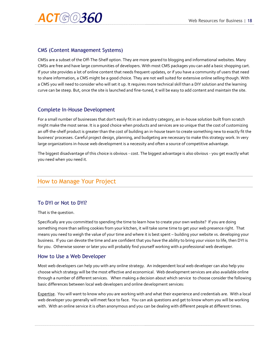

#### <span id="page-17-0"></span>CMS (Content Management Systems)

CMSs are a subset of the Off-The-Shelf option. They are more geared to blogging and informational websites. Many CMSs are free and have large communities of developers. With most CMS packages you can add a basic shopping cart. If your site provides a lot of online content that needs frequent updates, or if you have a community of users that need to share information, a CMS might be a good choice. They are not well suited for extensive online selling though. With a CMS you will need to consider who will set it up. It requires more technical skill than a DIY solution and the learning curve can be steep. But, once the site is launched and fine-tuned, it will be easy to add content and maintain the site.

#### <span id="page-17-1"></span>Complete In-House Development

For a small number of businesses that don't easily fit in an industry category, an in-house solution built from scratch might make the most sense. It is a good choice when products and services are so unique that the cost of customizing an off-the-shelf product is greater than the cost of building an in-house team to create something new to exactly fit the business' processes. Careful project design, planning, and budgeting are necessary to make this strategy work. In very large organizations in-house web development is a necessity and often a source of competitive advantage.

The biggest disadvantage of this choice is obvious - cost. The biggest advantage is also obvious - you get exactly what you need when you need it.

## <span id="page-17-2"></span>How to Manage Your Project

#### <span id="page-17-3"></span>To DYI or Not to DYI?

That is the question.

Specifically are you committed to spending the time to learn how to create your own website? If you are doing something more than selling cookies from your kitchen, it will take some time to get your web presence right. That means you need to weigh the value of your time and where it is best spent – building your website vs. developing your business. If you can devote the time and are confident that you have the ability to bring your vision to life, then DYI is for you. Otherwise sooner or later you will probably find yourself working with a professional web developer.

#### <span id="page-17-4"></span>How to Use a Web Developer

Most web developers can help you with any online strategy. An independent local web developer can also help you choose which strategy will be the most effective and economical. Web development services are also available online through a number of different services. When making a decision about which service to choose consider the following basic differences between local web developers and online development services:

Expertise. You will want to know who you are working with and what their experience and credentials are. With a local web developer you generally will meet face to face. You can ask questions and get to know whom you will be working with. With an online service it is often anonymous and you can be dealing with different people at different times.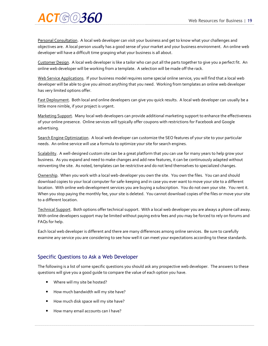

Personal Consultation. A local web developer can visit your business and get to know what your challenges and objectives are. A local person usually has a good sense of your market and your business environment. An online web developer will have a difficult time grasping what your business is all about.

Customer Design. A local web developer is like a tailor who can put all the parts together to give you a perfect fit. An online web developer will be working from a template. A selection will be made off the rack.

Web Service Applications. If your business model requires some special online service, you will find that a local web developer will be able to give you almost anything that you need. Working from templates an online web developer has very limited options offer.

Fast Deployment. Both local and online developers can give you quick results. A local web developer can usually be a little more nimble, if your project is urgent.

Marketing Support. Many local web developers can provide additional marketing support to enhance the effectiveness of your online presence. Online services will typically offer coupons with restrictions for Facebook and Google advertising.

Search Engine Optimization. A local web developer can customize the SEO features of your site to your particular needs. An online service will use a formula to optimize your site for search engines.

Scalability. A well-designed custom site can be a great platform that you can use for many years to help grow your business. As you expand and need to make changes and add new features, it can be continuously adapted without reinventing the site. As noted, templates can be restrictive and do not lend themselves to specialized changes.

Ownership. When you work with a local web-developer you own the site. You own the files. You can and should download copies to your local computer for safe-keeping and in case you ever want to move your site to a different location. With online web development services you are buying a subscription. You do not own your site. You rent it. When you stop paying the monthly fee, your site is deleted. You cannot download copies of the files or move your site to a different location.

Technical Support. Both options offer technical support. With a local web developer you are always a phone call away. With online developers support may be limited without paying extra fees and you may be forced to rely on forums and FAQs for help.

Each local web developer is different and there are many differences among online services. Be sure to carefully examine any service you are considering to see how well it can meet your expectations according to these standards.

#### <span id="page-18-0"></span>Specific Questions to Ask a Web Developer

The following is a list of some specific questions you should ask any prospective web developer. The answers to these questions will give you a good guide to compare the value of each option you have.

- Where will my site be hosted?
- How much bandwidth will my site have?
- How much disk space will my site have?
- How many email accounts can I have?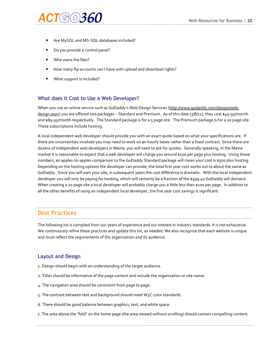

- Are MySQL and MS-SQL databases included?
- Do you provide a control panel?
- Who owns the files?
- How many ftp accounts can I have with upload and download rights?
- What support is included?

#### <span id="page-19-0"></span>What does it Cost to Use a Web Developer?

When you use an online service such as GoDaddy's Web Design Services [\(http://www.godaddy.com/design/web](http://www.godaddy.com/design/web-design.aspx)[design.aspx\)](http://www.godaddy.com/design/web-design.aspx) you are offered two packages - Standard and Premium. As of this date (3/8/12), they cost \$49.95/month and \$89.95/month respectively. The Standard package is for a 5 page site. The Premium package is for a 20 page site. These subscriptions include hosting.

A local independent web developer should provide you with an exact quote based on what your specifications are. If there are uncertainties involved you may need to work on an hourly bases rather than a fixed contract. Since there are dozens of independent web developers in Maine, you will need to ask for quotes. Generally speaking, In the Maine market it is reasonable to expect that a web developer will charge you around \$100 per page plus hosting. Using those numbers, an apples-to-apples comparison to the GoDaddy Standard package will mean your cost is \$500 plus hosting. Depending on the hosting options the developer can provide, the total first year cost works out to about the same as GoDaddy. Since you will own your site, in subsequent years the cost difference is dramatic. With the local independent developer you will only be paying for hosting, which will certainly be a fraction of the \$599.40 GoDaddy will demand. When creating a 20 page site a local developer will probably charge you a little less than \$100 per page. In addition to all the other benefits of using an independent local developer, the five year cost savings is significant.

#### <span id="page-19-1"></span>Best Practices

The following list is compiled from our years of experience and our interest in industry standards. It is not exhaustive. We continuously refine these practices and update this list, as needed. We also recognize that each website is unique and must reflect the requirements of the organization and its audience.

#### <span id="page-19-2"></span>Layout and Design

- 1. Design should begin with an understanding of the target audience.
- 2. Titles should be informative of the page content and include the organization or site name.
- 4. The navigation area should be consistent from page to page.
- 5. The contrast between text and background should meet W3C color standards.
- 6. There should be good balance between graphics, text, and white space.
- 7. The area above the "fold" on the home page (the area viewed without scrolling) should contain compelling content.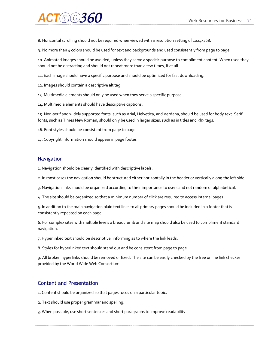

8. Horizontal scrolling should not be required when viewed with a resolution setting of 1024x768.

9. No more than 4 colors should be used for text and backgrounds and used consistently from page to page.

10. Animated images should be avoided, unless they serve a specific purpose to compliment content. When used they should not be distracting and should not repeat more than a few times, if at all.

11. Each image should have a specific purpose and should be optimized for fast downloading.

12. Images should contain a descriptive alt tag.

13. Multimedia elements should only be used when they serve a specific purpose.

14. Multimedia elements should have descriptive captions.

15. Non-serif and widely supported fonts, such as Arial, Helvetica, and Verdana, should be used for body text. Serif fonts, such as Times New Roman, should only be used in larger sizes, such as in titles and <h> tags.

16. Font styles should be consistent from page to page.

17. Copyright information should appear in page footer.

#### <span id="page-20-0"></span>Navigation

1. Navigation should be clearly identified with descriptive labels.

2. In most cases the navigation should be structured either horizontally in the header or vertically along the left side.

3. Navigation links should be organized according to their importance to users and not random or alphabetical.

4. The site should be organized so that a minimum number of click are required to access internal pages.

5. In addition to the main navigation plain text links to all primary pages should be included in a footer that is consistently repeated on each page.

6. For complex sites with multiple levels a breadcrumb and site map should also be used to compliment standard navigation.

7. Hyperlinked text should be descriptive, informing as to where the link leads.

8. Styles for hyperlinked text should stand out and be consistent from page to page.

9. All broken hyperlinks should be removed or fixed. The site can be easily checked by the free online link checker provided by the World Wide Web Consortium.

#### <span id="page-20-1"></span>Content and Presentation

1. Content should be organized so that pages focus on a particular topic.

2. Text should use proper grammar and spelling.

3. When possible, use short sentences and short paragraphs to improve readability.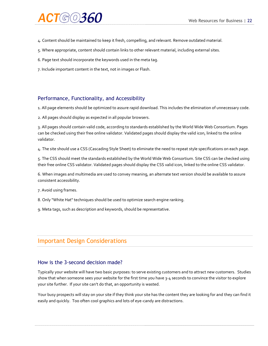

- 4. Content should be maintained to keep it fresh, compelling, and relevant. Remove outdated material.
- 5. Where appropriate, content should contain links to other relevant material, including external sites.
- 6. Page text should incorporate the keywords used in the meta tag.
- 7. Include important content in the text, not in images or Flash.

#### <span id="page-21-0"></span>Performance, Functionality, and Accessibility

1. All page elements should be optimized to assure rapid download. This includes the elimination of unnecessary code.

2. All pages should display as expected in all popular browsers.

3. All pages should contain valid code, according to standards established by the World Wide Web Consortium. Pages can be checked using their free online validator. Validated pages should display the valid icon, linked to the online validator.

4. The site should use a CSS (Cascading Style Sheet) to eliminate the need to repeat style specifications on each page.

5. The CSS should meet the standards established by the World Wide Web Consortium. Site CSS can be checked using their free online CSS validator. Validated pages should display the CSS valid icon, linked to the online CSS validator.

6. When images and multimedia are used to convey meaning, an alternate text version should be available to assure consistent accessibility.

7. Avoid using frames.

- 8. Only "White Hat" techniques should be used to optimize search engine ranking.
- 9. Meta tags, such as description and keywords, should be representative.

### <span id="page-21-1"></span>Important Design Considerations

#### <span id="page-21-2"></span>How is the 3-second decision made?

Typically your website will have two basic purposes: to serve existing customers and to attract new customers. Studies show that when someone sees your website for the first time you have 3-4 seconds to convince the visitor to explore your site further. If your site can't do that, an opportunity is wasted.

Your busy prospects will stay on your site if they think your site has the content they are looking for and they can find it easily and quickly. Too often cool graphics and lots of eye-candy are distractions.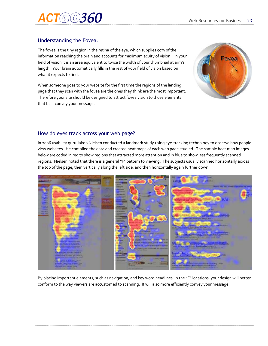

#### <span id="page-22-0"></span>Understanding the Fovea.

The fovea is the tiny region in the retina of the eye, which supplies 50% of the information reaching the brain and accounts for maximum acuity of vision. In your field of vision it is an area equivalent to twice the width of your thumbnail at arm's length. Your brain automatically fills in the rest of your field of vision based on what it expects to find.

When someone goes to your website for the first time the regions of the landing page that they scan with the fovea are the ones they think are the most important. Therefore your site should be designed to attract fovea vision to those elements that best convey your message.



#### <span id="page-22-1"></span>How do eyes track across your web page?

In 2006 usability guru Jakob Nielsen conducted a landmark study using eye-tracking technology to observe how people view websites. He compiled the data and created heat maps of each web page studied. The sample heat map images below are coded in red to show regions that attracted more attention and in blue to show less frequently scanned regions. Nielsen noted that there is a general "F" pattern to viewing. The subjects usually scanned horizontally across the top of the page, then vertically along the left side, and then horizontally again further down.



By placing important elements, such as navigation, and key word headlines, in the "F" locations, your design will better conform to the way viewers are accustomed to scanning. It will also more efficiently convey your message.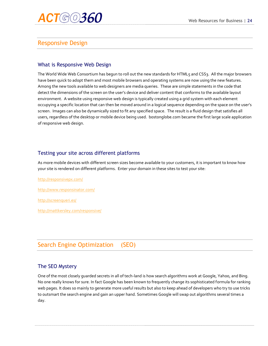

## <span id="page-23-0"></span>Responsive Design

#### <span id="page-23-1"></span>What is Responsive Web Design

The World Wide Web Consortium has begun to roll out the new standards for HTML5 and CSS3. All the major browsers have been quick to adopt them and most mobile browsers and operating systems are now using the new features. Among the new tools available to web designers are media queries. These are simple statements in the code that detect the dimensions of the screen on the user's device and deliver content that conforms to the available layout environment. A website using responsive web design is typically created using a grid system with each element occupying a specific location that can then be moved around in a logical sequence depending on the space on the user's screen. Images can also be dynamically sized to fit any specified space. The result is a fluid design that satisfies all users, regardless of the desktop or mobile device being used. bostonglobe.com became the first large scale application of responsive web design.

#### <span id="page-23-2"></span>Testing your site across different platforms

As more mobile devices with different screen sizes become available to your customers, it is important to know how your site is rendered on different platforms. Enter your domain in these sites to test your site:

<http://responsivepx.com/>

<http://www.responsinator.com/>

<http://screenqueri.es/>

<http://mattkersley.com/responsive/>

## <span id="page-23-3"></span>Search Engine Optimization (SEO)

#### <span id="page-23-4"></span>The SEO Mystery

One of the most closely guarded secrets in all of tech-land is how search algorithms work at Google, Yahoo, and Bing. No one really knows for sure. In fact Google has been known to frequently change its sophisticated formula for ranking web pages. It does so mainly to generate more useful results but also to keep ahead of developers who try to use tricks to outsmart the search engine and gain an upper hand. Sometimes Google will swap out algorithms several times a day.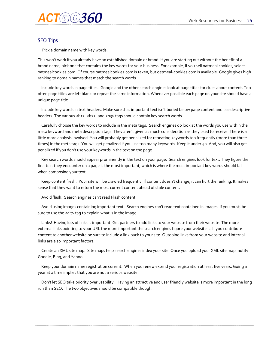

#### <span id="page-24-0"></span>SEO Tips

Pick a domain name with key words.

This won't work if you already have an established domain or brand. If you are starting out without the benefit of a brand name, pick one that contains the key words for your business. For example, if you sell oatmeal cookies, select oatmealcookies.com. Of course oatmealcookies.com is taken, but oatmeal-cookies.com is available. Google gives high ranking to domain names that match the search words.

 Include key words in page titles. Google and the other search engines look at page titles for clues about content. Too often page titles are left blank or repeat the same information. Whenever possible each page on your site should have a unique page title.

 Include key words in text headers. Make sure that important text isn't buried below page content and use descriptive headers. The various <h1>, <h2>, and <h3> tags should contain key search words.

 Carefully choose the key words to include in the meta tags. Search engines do look at the words you use within the meta keyword and meta description tags. They aren't given as much consideration as they used to receive. There is a little more analysis involved. You will probably get penalized for repeating keywords too frequently (more than three times) in the meta tags. You will get penalized if you use too many keywords. Keep it under 40. And, you will also get penalized if you don't use your keywords in the text on the page.

 Key search words should appear prominently in the text on your page. Search engines look for text. They figure the first text they encounter on a page is the most important, which is where the most important key words should fall when composing your text.

 Keep content fresh. Your site will be crawled frequently. If content doesn't change, it can hurt the ranking. It makes sense that they want to return the most current content ahead of stale content.

Avoid flash. Search engines can't read Flash content.

 Avoid using images containing important text. Search engines can't read text contained in images. If you must, be sure to use the <alt> tag to explain what is in the image.

 Links! Having lots of links is important. Get partners to add links to your website from their website. The more external links pointing to your URL the more important the search engines figure your website is. If you contribute content to another website be sure to include a link back to your site. Outgoing links from your website and internal links are also important factors.

 Create an XML site map. Site maps help search engines index your site. Once you upload your XML site map, notify Google, Bing, and Yahoo.

 Keep your domain name registration current. When you renew extend your registration at least five years. Going a year at a time implies that you are not a serious website.

 Don't let SEO take priority over usability. Having an attractive and user friendly website is more important in the long run than SEO. The two objectives should be compatible though.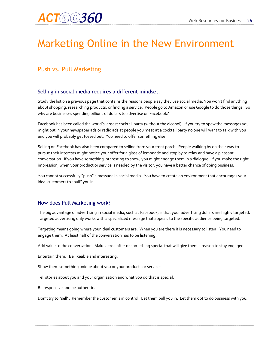

## Marketing Online in the New Environment

## <span id="page-25-0"></span>Push vs. Pull Marketing

#### <span id="page-25-1"></span>Selling in social media requires a different mindset.

Study the list on a previous page that contains the reasons people say they use social media. You won't find anything about shopping, researching products, or finding a service. People go to Amazon or use Google to do those things. So why are businesses spending billions of dollars to advertise on Facebook?

Facebook has been called the world's largest cocktail party (without the alcohol). If you try to spew the messages you might put in your newspaper ads or radio ads at people you meet at a cocktail party no one will want to talk with you and you will probably get tossed out. You need to offer something else.

Selling on Facebook has also been compared to selling from your front porch. People walking by on their way to pursue their interests might notice your offer for a glass of lemonade and stop by to relax and have a pleasant conversation. If you have something interesting to show, you might engage them in a dialogue. If you make the right impression, when your product or service is needed by the visitor, you have a better chance of doing business.

You cannot successfully "push" a message in social media. You have to create an environment that encourages your ideal customers to "pull" you in.

#### <span id="page-25-2"></span>How does Pull Marketing work?

The big advantage of advertising in social media, such as Facebook, is that your advertising dollars are highly targeted. Targeted advertising only works with a specialized message that appeals to the specific audience being targeted.

Targeting means going where your ideal customers are. When you are there it is necessary to listen. You need to engage them. At least half of the conversation has to be listening.

Add value to the conversation. Make a free offer or something special that will give them a reason to stay engaged.

Entertain them. Be likeable and interesting.

Show them something unique about you or your products or services.

Tell stories about you and your organization and what you do that is special.

Be responsive and be authentic.

Don't try to "sell". Remember the customer is in control. Let them pull you in. Let them opt to do business with you.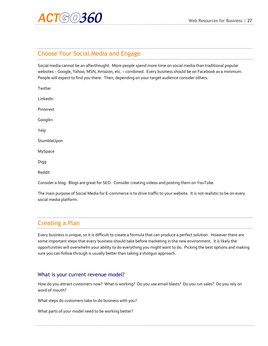

## <span id="page-26-0"></span>Choose Your Social Media and Engage

Social media cannot be an afterthought. More people spend more time on social media than traditional popular websites - Google, Yahoo, MSN, Amazon, etc. - combined. Every business should be on Facebook as a minimum. People will expect to find you there. Then, depending on your target audience consider others.

**Twitter** LinkedIn Pinterest Google+ Yelp StumbleUpon MySpace Digg Reddit

Consider a blog. Blogs are great for SEO. Consider creating videos and posting them on YouTube.

The main purpose of Social Media for E-commerce is to drive traffic to your website. It is not realistic to be on every social media platform.

### <span id="page-26-1"></span>Creating a Plan

Every business is unique, so it is difficult to create a formula that can produce a perfect solution. However there are some important steps that every business should take before marketing in the new environment. It is likely the opportunities will overwhelm your ability to do everything you might want to do. Picking the best options and making sure you can follow through is usually better than taking a shotgun approach.

#### <span id="page-26-2"></span>What is your current revenue model?

How do you attract customers now? What is working? Do you use email blasts? Do you run sales? Do you rely on word of mouth?

What steps do customers take to do business with you?

What parts of your model need to be working better?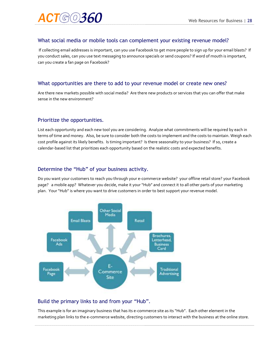

#### <span id="page-27-0"></span>What social media or mobile tools can complement your existing revenue model?

If collecting email addresses is important, can you use Facebook to get more people to sign up for your email blasts? If you conduct sales, can you use text messaging to announce specials or send coupons? If word of mouth is important, can you create a fan page on Facebook?

#### <span id="page-27-1"></span>What opportunities are there to add to your revenue model or create new ones?

Are there new markets possible with social media? Are there new products or services that you can offer that make sense in the new environment?

#### <span id="page-27-2"></span>Prioritize the opportunities.

List each opportunity and each new tool you are considering. Analyze what commitments will be required by each in terms of time and money. Also, be sure to consider both the costs to implement and the costs to maintain. Weigh each cost profile against its likely benefits. Is timing important? Is there seasonality to your business? If so, create a calendar-based list that prioritizes each opportunity based on the realistic costs and expected benefits.

#### <span id="page-27-3"></span>Determine the "Hub" of your business activity.

Do you want your customers to reach you through your e-commerce website? your offline retail store? your Facebook page? a mobile app? Whatever you decide, make it your "Hub" and connect it to all other parts of your marketing plan. Your "Hub" is where you want to drive customers in order to best support your revenue model.



#### <span id="page-27-4"></span>Build the primary links to and from your "Hub".

This example is for an imaginary business that has its e-commerce site as its "Hub". Each other element in the marketing plan links to the e-commerce website, directing customers to interact with the business at the online store.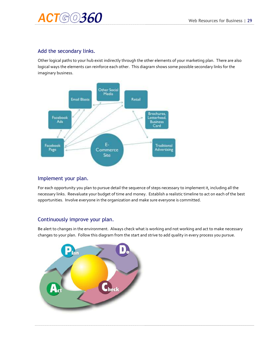

#### <span id="page-28-0"></span>Add the secondary links.

Other logical paths to your hub exist indirectly through the other elements of your marketing plan. There are also logical ways the elements can reinforce each other. This diagram shows some possible secondary links for the imaginary business.



#### <span id="page-28-1"></span>Implement your plan.

For each opportunity you plan to pursue detail the sequence of steps necessary to implement it, including all the necessary links. Reevaluate your budget of time and money. Establish a realistic timeline to act on each of the best opportunities. Involve everyone in the organization and make sure everyone is committed.

#### <span id="page-28-2"></span>Continuously improve your plan.

Be alert to changes in the environment. Always check what is working and not working and act to make necessary changes to your plan. Follow this diagram from the start and strive to add quality in every process you pursue.